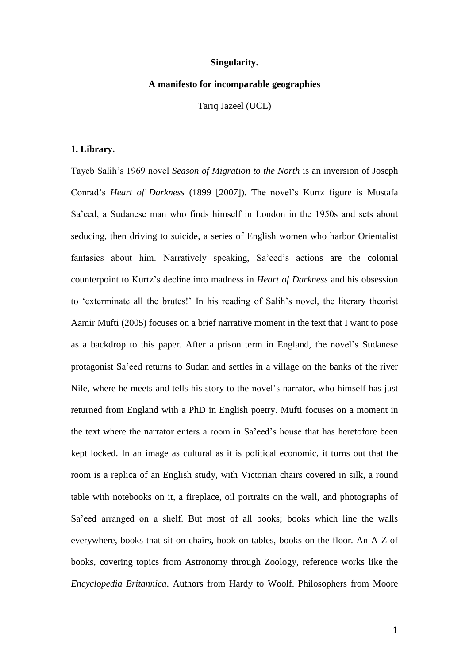### **Singularity.**

#### **A manifesto for incomparable geographies**

Tariq Jazeel (UCL)

# **1. Library.**

Tayeb Salih's 1969 novel *Season of Migration to the North* is an inversion of Joseph Conrad's *Heart of Darkness* (1899 [2007])*.* The novel's Kurtz figure is Mustafa Sa'eed, a Sudanese man who finds himself in London in the 1950s and sets about seducing, then driving to suicide, a series of English women who harbor Orientalist fantasies about him. Narratively speaking, Sa'eed's actions are the colonial counterpoint to Kurtz's decline into madness in *Heart of Darkness* and his obsession to 'exterminate all the brutes!' In his reading of Salih's novel, the literary theorist Aamir Mufti (2005) focuses on a brief narrative moment in the text that I want to pose as a backdrop to this paper. After a prison term in England, the novel's Sudanese protagonist Sa'eed returns to Sudan and settles in a village on the banks of the river Nile, where he meets and tells his story to the novel's narrator, who himself has just returned from England with a PhD in English poetry. Mufti focuses on a moment in the text where the narrator enters a room in Sa'eed's house that has heretofore been kept locked. In an image as cultural as it is political economic, it turns out that the room is a replica of an English study, with Victorian chairs covered in silk, a round table with notebooks on it, a fireplace, oil portraits on the wall, and photographs of Sa'eed arranged on a shelf. But most of all books; books which line the walls everywhere, books that sit on chairs, book on tables, books on the floor. An A-Z of books, covering topics from Astronomy through Zoology, reference works like the *Encyclopedia Britannica*. Authors from Hardy to Woolf. Philosophers from Moore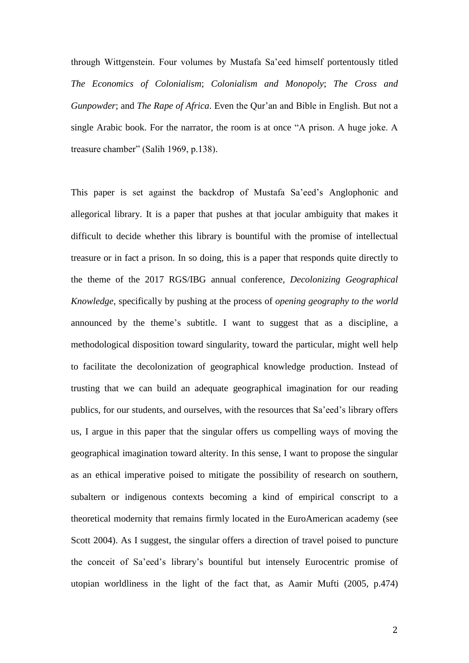through Wittgenstein. Four volumes by Mustafa Sa'eed himself portentously titled *The Economics of Colonialism*; *Colonialism and Monopoly*; *The Cross and Gunpowder*; and *The Rape of Africa*. Even the Qur'an and Bible in English. But not a single Arabic book. For the narrator, the room is at once "A prison. A huge joke. A treasure chamber" (Salih 1969, p.138).

This paper is set against the backdrop of Mustafa Sa'eed's Anglophonic and allegorical library. It is a paper that pushes at that jocular ambiguity that makes it difficult to decide whether this library is bountiful with the promise of intellectual treasure or in fact a prison. In so doing, this is a paper that responds quite directly to the theme of the 2017 RGS/IBG annual conference, *Decolonizing Geographical Knowledge*, specifically by pushing at the process of *opening geography to the world* announced by the theme's subtitle. I want to suggest that as a discipline, a methodological disposition toward singularity, toward the particular, might well help to facilitate the decolonization of geographical knowledge production. Instead of trusting that we can build an adequate geographical imagination for our reading publics, for our students, and ourselves, with the resources that Sa'eed's library offers us, I argue in this paper that the singular offers us compelling ways of moving the geographical imagination toward alterity. In this sense, I want to propose the singular as an ethical imperative poised to mitigate the possibility of research on southern, subaltern or indigenous contexts becoming a kind of empirical conscript to a theoretical modernity that remains firmly located in the EuroAmerican academy (see Scott 2004). As I suggest, the singular offers a direction of travel poised to puncture the conceit of Sa'eed's library's bountiful but intensely Eurocentric promise of utopian worldliness in the light of the fact that, as Aamir Mufti (2005, p.474)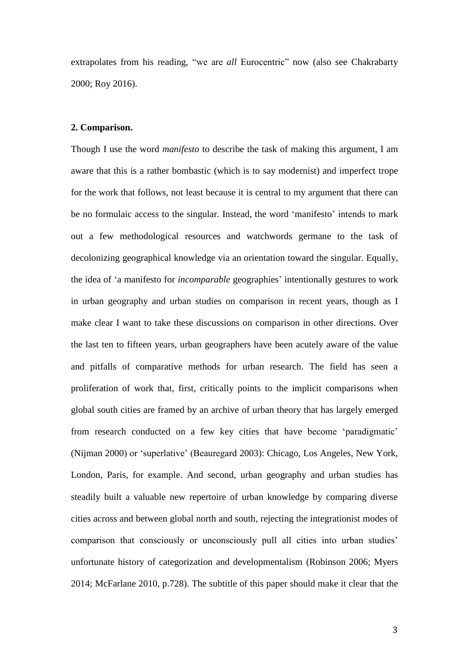extrapolates from his reading, "we are *all* Eurocentric" now (also see Chakrabarty 2000; Roy 2016).

#### **2. Comparison.**

Though I use the word *manifesto* to describe the task of making this argument, I am aware that this is a rather bombastic (which is to say modernist) and imperfect trope for the work that follows, not least because it is central to my argument that there can be no formulaic access to the singular. Instead, the word 'manifesto' intends to mark out a few methodological resources and watchwords germane to the task of decolonizing geographical knowledge via an orientation toward the singular. Equally, the idea of 'a manifesto for *incomparable* geographies' intentionally gestures to work in urban geography and urban studies on comparison in recent years, though as I make clear I want to take these discussions on comparison in other directions. Over the last ten to fifteen years, urban geographers have been acutely aware of the value and pitfalls of comparative methods for urban research. The field has seen a proliferation of work that, first, critically points to the implicit comparisons when global south cities are framed by an archive of urban theory that has largely emerged from research conducted on a few key cities that have become 'paradigmatic' (Nijman 2000) or 'superlative' (Beauregard 2003): Chicago, Los Angeles, New York, London, Paris, for example. And second, urban geography and urban studies has steadily built a valuable new repertoire of urban knowledge by comparing diverse cities across and between global north and south, rejecting the integrationist modes of comparison that consciously or unconsciously pull all cities into urban studies' unfortunate history of categorization and developmentalism (Robinson 2006; Myers 2014; McFarlane 2010, p.728). The subtitle of this paper should make it clear that the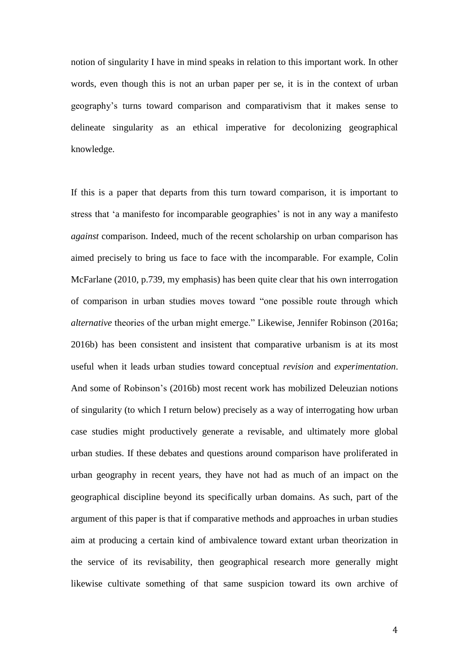notion of singularity I have in mind speaks in relation to this important work. In other words, even though this is not an urban paper per se, it is in the context of urban geography's turns toward comparison and comparativism that it makes sense to delineate singularity as an ethical imperative for decolonizing geographical knowledge.

If this is a paper that departs from this turn toward comparison, it is important to stress that 'a manifesto for incomparable geographies' is not in any way a manifesto *against* comparison. Indeed, much of the recent scholarship on urban comparison has aimed precisely to bring us face to face with the incomparable. For example, Colin McFarlane (2010, p.739, my emphasis) has been quite clear that his own interrogation of comparison in urban studies moves toward "one possible route through which *alternative* theories of the urban might emerge." Likewise, Jennifer Robinson (2016a; 2016b) has been consistent and insistent that comparative urbanism is at its most useful when it leads urban studies toward conceptual *revision* and *experimentation*. And some of Robinson's (2016b) most recent work has mobilized Deleuzian notions of singularity (to which I return below) precisely as a way of interrogating how urban case studies might productively generate a revisable, and ultimately more global urban studies. If these debates and questions around comparison have proliferated in urban geography in recent years, they have not had as much of an impact on the geographical discipline beyond its specifically urban domains. As such, part of the argument of this paper is that if comparative methods and approaches in urban studies aim at producing a certain kind of ambivalence toward extant urban theorization in the service of its revisability, then geographical research more generally might likewise cultivate something of that same suspicion toward its own archive of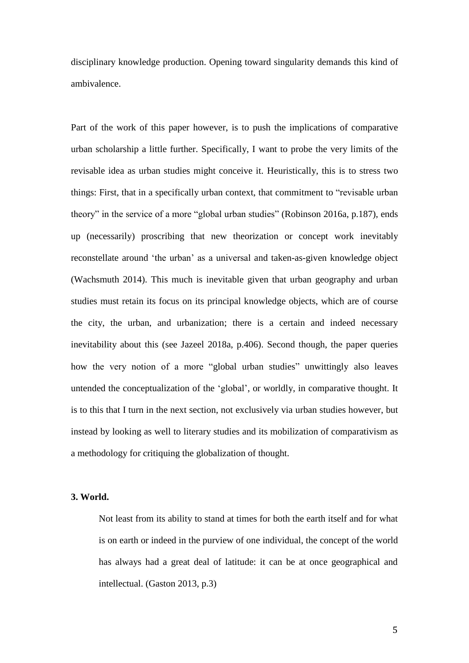disciplinary knowledge production. Opening toward singularity demands this kind of ambivalence.

Part of the work of this paper however, is to push the implications of comparative urban scholarship a little further. Specifically, I want to probe the very limits of the revisable idea as urban studies might conceive it. Heuristically, this is to stress two things: First, that in a specifically urban context, that commitment to "revisable urban theory" in the service of a more "global urban studies" (Robinson 2016a, p.187), ends up (necessarily) proscribing that new theorization or concept work inevitably reconstellate around 'the urban' as a universal and taken-as-given knowledge object (Wachsmuth 2014). This much is inevitable given that urban geography and urban studies must retain its focus on its principal knowledge objects, which are of course the city, the urban, and urbanization; there is a certain and indeed necessary inevitability about this (see Jazeel 2018a, p.406). Second though, the paper queries how the very notion of a more "global urban studies" unwittingly also leaves untended the conceptualization of the 'global', or worldly, in comparative thought. It is to this that I turn in the next section, not exclusively via urban studies however, but instead by looking as well to literary studies and its mobilization of comparativism as a methodology for critiquing the globalization of thought.

# **3. World.**

Not least from its ability to stand at times for both the earth itself and for what is on earth or indeed in the purview of one individual, the concept of the world has always had a great deal of latitude: it can be at once geographical and intellectual. (Gaston 2013, p.3)

5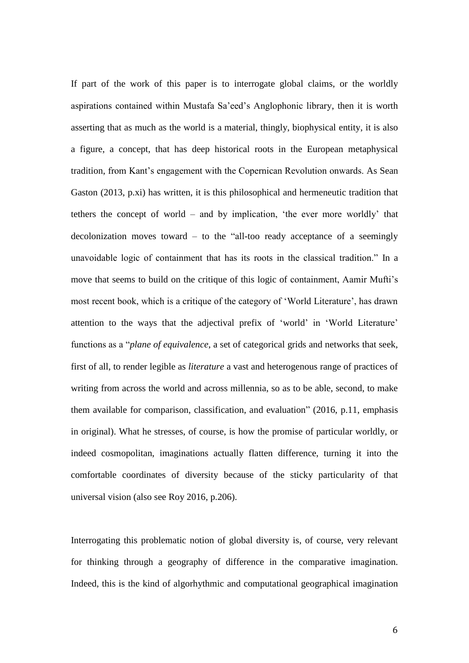If part of the work of this paper is to interrogate global claims, or the worldly aspirations contained within Mustafa Sa'eed's Anglophonic library, then it is worth asserting that as much as the world is a material, thingly, biophysical entity, it is also a figure, a concept, that has deep historical roots in the European metaphysical tradition, from Kant's engagement with the Copernican Revolution onwards. As Sean Gaston (2013, p.xi) has written, it is this philosophical and hermeneutic tradition that tethers the concept of world – and by implication, 'the ever more worldly' that decolonization moves toward – to the "all-too ready acceptance of a seemingly unavoidable logic of containment that has its roots in the classical tradition." In a move that seems to build on the critique of this logic of containment, Aamir Mufti's most recent book, which is a critique of the category of 'World Literature', has drawn attention to the ways that the adjectival prefix of 'world' in 'World Literature' functions as a "*plane of equivalence*, a set of categorical grids and networks that seek, first of all, to render legible as *literature* a vast and heterogenous range of practices of writing from across the world and across millennia, so as to be able, second, to make them available for comparison, classification, and evaluation" (2016, p.11, emphasis in original). What he stresses, of course, is how the promise of particular worldly, or indeed cosmopolitan, imaginations actually flatten difference, turning it into the comfortable coordinates of diversity because of the sticky particularity of that universal vision (also see Roy 2016, p.206).

Interrogating this problematic notion of global diversity is, of course, very relevant for thinking through a geography of difference in the comparative imagination. Indeed, this is the kind of algorhythmic and computational geographical imagination

6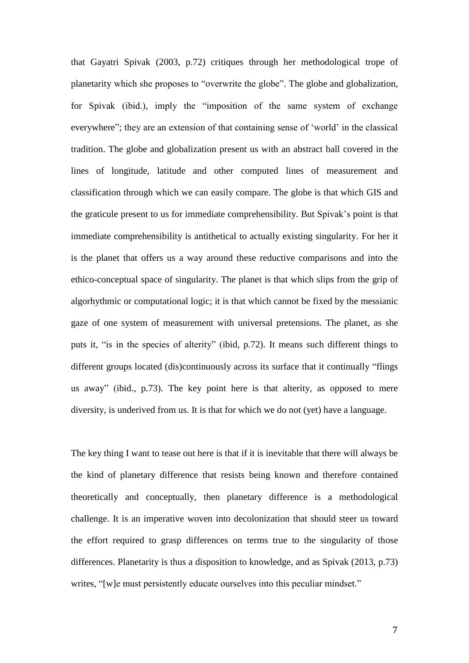that Gayatri Spivak (2003, p.72) critiques through her methodological trope of planetarity which she proposes to "overwrite the globe". The globe and globalization, for Spivak (ibid.), imply the "imposition of the same system of exchange everywhere"; they are an extension of that containing sense of 'world' in the classical tradition. The globe and globalization present us with an abstract ball covered in the lines of longitude, latitude and other computed lines of measurement and classification through which we can easily compare. The globe is that which GIS and the graticule present to us for immediate comprehensibility. But Spivak's point is that immediate comprehensibility is antithetical to actually existing singularity. For her it is the planet that offers us a way around these reductive comparisons and into the ethico-conceptual space of singularity. The planet is that which slips from the grip of algorhythmic or computational logic; it is that which cannot be fixed by the messianic gaze of one system of measurement with universal pretensions. The planet, as she puts it, "is in the species of alterity" (ibid, p.72). It means such different things to different groups located (dis)continuously across its surface that it continually "flings us away" (ibid., p.73). The key point here is that alterity, as opposed to mere diversity, is underived from us. It is that for which we do not (yet) have a language.

The key thing I want to tease out here is that if it is inevitable that there will always be the kind of planetary difference that resists being known and therefore contained theoretically and conceptually, then planetary difference is a methodological challenge. It is an imperative woven into decolonization that should steer us toward the effort required to grasp differences on terms true to the singularity of those differences. Planetarity is thus a disposition to knowledge, and as Spivak (2013, p.73) writes, "[w]e must persistently educate ourselves into this peculiar mindset."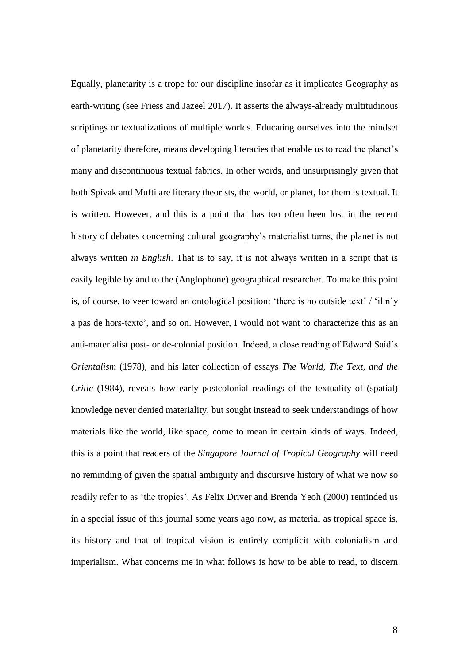Equally, planetarity is a trope for our discipline insofar as it implicates Geography as earth-writing (see Friess and Jazeel 2017). It asserts the always-already multitudinous scriptings or textualizations of multiple worlds. Educating ourselves into the mindset of planetarity therefore, means developing literacies that enable us to read the planet's many and discontinuous textual fabrics. In other words, and unsurprisingly given that both Spivak and Mufti are literary theorists, the world, or planet, for them is textual. It is written. However, and this is a point that has too often been lost in the recent history of debates concerning cultural geography's materialist turns, the planet is not always written *in English*. That is to say, it is not always written in a script that is easily legible by and to the (Anglophone) geographical researcher. To make this point is, of course, to veer toward an ontological position: 'there is no outside text' / 'il n'y a pas de hors-texte', and so on. However, I would not want to characterize this as an anti-materialist post- or de-colonial position. Indeed, a close reading of Edward Said's *Orientalism* (1978), and his later collection of essays *The World, The Text, and the Critic* (1984), reveals how early postcolonial readings of the textuality of (spatial) knowledge never denied materiality, but sought instead to seek understandings of how materials like the world, like space, come to mean in certain kinds of ways. Indeed, this is a point that readers of the *Singapore Journal of Tropical Geography* will need no reminding of given the spatial ambiguity and discursive history of what we now so readily refer to as 'the tropics'. As Felix Driver and Brenda Yeoh (2000) reminded us in a special issue of this journal some years ago now, as material as tropical space is, its history and that of tropical vision is entirely complicit with colonialism and imperialism. What concerns me in what follows is how to be able to read, to discern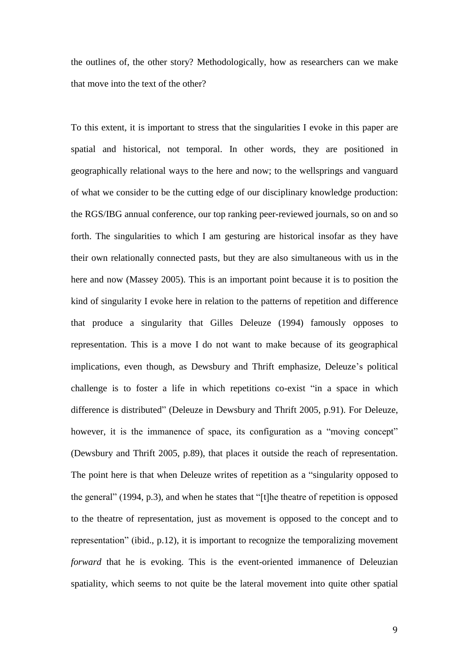the outlines of, the other story? Methodologically, how as researchers can we make that move into the text of the other?

To this extent, it is important to stress that the singularities I evoke in this paper are spatial and historical, not temporal. In other words, they are positioned in geographically relational ways to the here and now; to the wellsprings and vanguard of what we consider to be the cutting edge of our disciplinary knowledge production: the RGS/IBG annual conference, our top ranking peer-reviewed journals, so on and so forth. The singularities to which I am gesturing are historical insofar as they have their own relationally connected pasts, but they are also simultaneous with us in the here and now (Massey 2005). This is an important point because it is to position the kind of singularity I evoke here in relation to the patterns of repetition and difference that produce a singularity that Gilles Deleuze (1994) famously opposes to representation. This is a move I do not want to make because of its geographical implications, even though, as Dewsbury and Thrift emphasize, Deleuze's political challenge is to foster a life in which repetitions co-exist "in a space in which difference is distributed" (Deleuze in Dewsbury and Thrift 2005, p.91). For Deleuze, however, it is the immanence of space, its configuration as a "moving concept" (Dewsbury and Thrift 2005, p.89), that places it outside the reach of representation. The point here is that when Deleuze writes of repetition as a "singularity opposed to the general" (1994, p.3), and when he states that "[t]he theatre of repetition is opposed to the theatre of representation, just as movement is opposed to the concept and to representation" (ibid., p.12), it is important to recognize the temporalizing movement *forward* that he is evoking. This is the event-oriented immanence of Deleuzian spatiality, which seems to not quite be the lateral movement into quite other spatial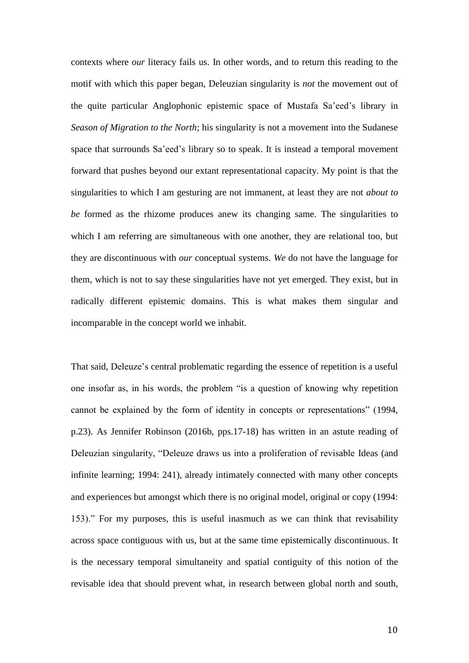contexts where *our* literacy fails us. In other words, and to return this reading to the motif with which this paper began, Deleuzian singularity is *not* the movement out of the quite particular Anglophonic epistemic space of Mustafa Sa'eed's library in *Season of Migration to the North*; his singularity is not a movement into the Sudanese space that surrounds Sa'eed's library so to speak. It is instead a temporal movement forward that pushes beyond our extant representational capacity. My point is that the singularities to which I am gesturing are not immanent, at least they are not *about to be* formed as the rhizome produces anew its changing same. The singularities to which I am referring are simultaneous with one another, they are relational too, but they are discontinuous with *our* conceptual systems. *We* do not have the language for them, which is not to say these singularities have not yet emerged. They exist, but in radically different epistemic domains. This is what makes them singular and incomparable in the concept world we inhabit.

That said, Deleuze's central problematic regarding the essence of repetition is a useful one insofar as, in his words, the problem "is a question of knowing why repetition cannot be explained by the form of identity in concepts or representations" (1994, p.23). As Jennifer Robinson (2016b, pps.17-18) has written in an astute reading of Deleuzian singularity, "Deleuze draws us into a proliferation of revisable Ideas (and infinite learning; 1994: 241), already intimately connected with many other concepts and experiences but amongst which there is no original model, original or copy (1994: 153)." For my purposes, this is useful inasmuch as we can think that revisability across space contiguous with us, but at the same time epistemically discontinuous. It is the necessary temporal simultaneity and spatial contiguity of this notion of the revisable idea that should prevent what, in research between global north and south,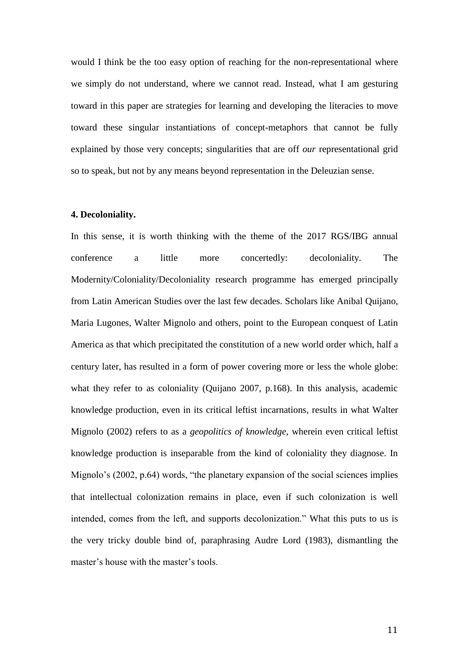would I think be the too easy option of reaching for the non-representational where we simply do not understand, where we cannot read. Instead, what I am gesturing toward in this paper are strategies for learning and developing the literacies to move toward these singular instantiations of concept-metaphors that cannot be fully explained by those very concepts; singularities that are off *our* representational grid so to speak, but not by any means beyond representation in the Deleuzian sense.

#### **4. Decoloniality.**

In this sense, it is worth thinking with the theme of the 2017 RGS/IBG annual conference a little more concertedly: decoloniality. The Modernity/Coloniality/Decoloniality research programme has emerged principally from Latin American Studies over the last few decades. Scholars like Anibal Quijano, Maria Lugones, Walter Mignolo and others, point to the European conquest of Latin America as that which precipitated the constitution of a new world order which, half a century later, has resulted in a form of power covering more or less the whole globe: what they refer to as coloniality (Quijano 2007, p.168). In this analysis, academic knowledge production, even in its critical leftist incarnations, results in what Walter Mignolo (2002) refers to as a *geopolitics of knowledge*, wherein even critical leftist knowledge production is inseparable from the kind of coloniality they diagnose. In Mignolo's (2002, p.64) words, "the planetary expansion of the social sciences implies that intellectual colonization remains in place, even if such colonization is well intended, comes from the left, and supports decolonization." What this puts to us is the very tricky double bind of, paraphrasing Audre Lord (1983), dismantling the master's house with the master's tools.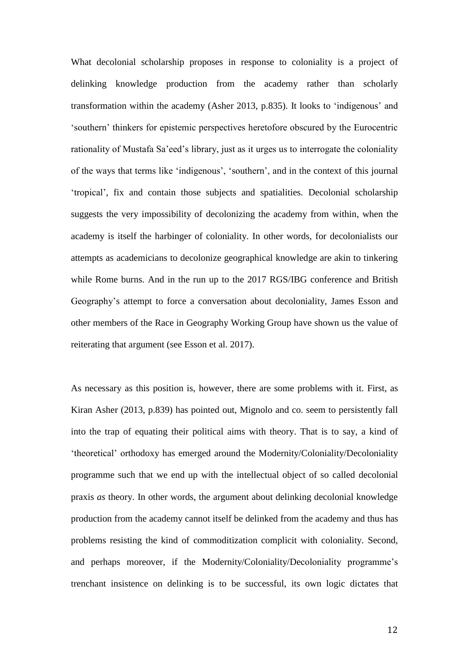What decolonial scholarship proposes in response to coloniality is a project of delinking knowledge production from the academy rather than scholarly transformation within the academy (Asher 2013, p.835). It looks to 'indigenous' and 'southern' thinkers for epistemic perspectives heretofore obscured by the Eurocentric rationality of Mustafa Sa'eed's library, just as it urges us to interrogate the coloniality of the ways that terms like 'indigenous', 'southern', and in the context of this journal 'tropical', fix and contain those subjects and spatialities. Decolonial scholarship suggests the very impossibility of decolonizing the academy from within, when the academy is itself the harbinger of coloniality. In other words, for decolonialists our attempts as academicians to decolonize geographical knowledge are akin to tinkering while Rome burns. And in the run up to the 2017 RGS/IBG conference and British Geography's attempt to force a conversation about decoloniality, James Esson and other members of the Race in Geography Working Group have shown us the value of reiterating that argument (see Esson et al. 2017).

As necessary as this position is, however, there are some problems with it. First, as Kiran Asher (2013, p.839) has pointed out, Mignolo and co. seem to persistently fall into the trap of equating their political aims with theory. That is to say, a kind of 'theoretical' orthodoxy has emerged around the Modernity/Coloniality/Decoloniality programme such that we end up with the intellectual object of so called decolonial praxis *as* theory. In other words, the argument about delinking decolonial knowledge production from the academy cannot itself be delinked from the academy and thus has problems resisting the kind of commoditization complicit with coloniality. Second, and perhaps moreover, if the Modernity/Coloniality/Decoloniality programme's trenchant insistence on delinking is to be successful, its own logic dictates that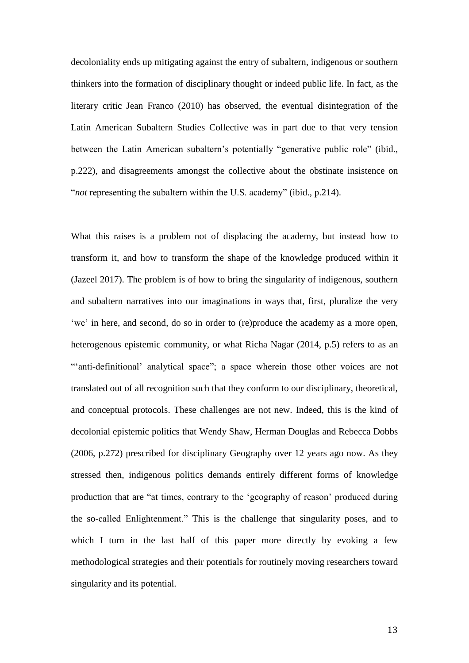decoloniality ends up mitigating against the entry of subaltern, indigenous or southern thinkers into the formation of disciplinary thought or indeed public life. In fact, as the literary critic Jean Franco (2010) has observed, the eventual disintegration of the Latin American Subaltern Studies Collective was in part due to that very tension between the Latin American subaltern's potentially "generative public role" (ibid., p.222), and disagreements amongst the collective about the obstinate insistence on "*not* representing the subaltern within the U.S. academy" (ibid., p.214).

What this raises is a problem not of displacing the academy, but instead how to transform it, and how to transform the shape of the knowledge produced within it (Jazeel 2017). The problem is of how to bring the singularity of indigenous, southern and subaltern narratives into our imaginations in ways that, first, pluralize the very 'we' in here, and second, do so in order to (re)produce the academy as a more open, heterogenous epistemic community, or what Richa Nagar (2014, p.5) refers to as an "anti-definitional' analytical space"; a space wherein those other voices are not translated out of all recognition such that they conform to our disciplinary, theoretical, and conceptual protocols. These challenges are not new. Indeed, this is the kind of decolonial epistemic politics that Wendy Shaw, Herman Douglas and Rebecca Dobbs (2006, p.272) prescribed for disciplinary Geography over 12 years ago now. As they stressed then, indigenous politics demands entirely different forms of knowledge production that are "at times, contrary to the 'geography of reason' produced during the so-called Enlightenment." This is the challenge that singularity poses, and to which I turn in the last half of this paper more directly by evoking a few methodological strategies and their potentials for routinely moving researchers toward singularity and its potential.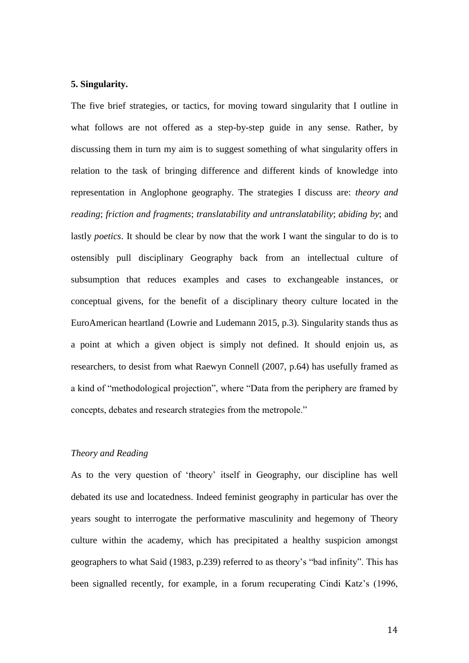## **5. Singularity.**

The five brief strategies, or tactics, for moving toward singularity that I outline in what follows are not offered as a step-by-step guide in any sense. Rather, by discussing them in turn my aim is to suggest something of what singularity offers in relation to the task of bringing difference and different kinds of knowledge into representation in Anglophone geography. The strategies I discuss are: *theory and reading*; *friction and fragments*; *translatability and untranslatability*; *abiding by*; and lastly *poetics*. It should be clear by now that the work I want the singular to do is to ostensibly pull disciplinary Geography back from an intellectual culture of subsumption that reduces examples and cases to exchangeable instances, or conceptual givens, for the benefit of a disciplinary theory culture located in the EuroAmerican heartland (Lowrie and Ludemann 2015, p.3). Singularity stands thus as a point at which a given object is simply not defined. It should enjoin us, as researchers, to desist from what Raewyn Connell (2007, p.64) has usefully framed as a kind of "methodological projection", where "Data from the periphery are framed by concepts, debates and research strategies from the metropole."

### *Theory and Reading*

As to the very question of 'theory' itself in Geography, our discipline has well debated its use and locatedness. Indeed feminist geography in particular has over the years sought to interrogate the performative masculinity and hegemony of Theory culture within the academy, which has precipitated a healthy suspicion amongst geographers to what Said (1983, p.239) referred to as theory's "bad infinity". This has been signalled recently, for example, in a forum recuperating Cindi Katz's (1996,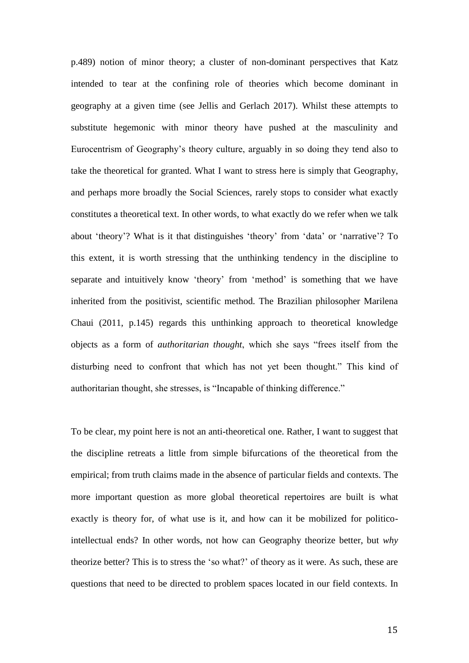p.489) notion of minor theory; a cluster of non-dominant perspectives that Katz intended to tear at the confining role of theories which become dominant in geography at a given time (see Jellis and Gerlach 2017). Whilst these attempts to substitute hegemonic with minor theory have pushed at the masculinity and Eurocentrism of Geography's theory culture, arguably in so doing they tend also to take the theoretical for granted. What I want to stress here is simply that Geography, and perhaps more broadly the Social Sciences, rarely stops to consider what exactly constitutes a theoretical text. In other words, to what exactly do we refer when we talk about 'theory'? What is it that distinguishes 'theory' from 'data' or 'narrative'? To this extent, it is worth stressing that the unthinking tendency in the discipline to separate and intuitively know 'theory' from 'method' is something that we have inherited from the positivist, scientific method. The Brazilian philosopher Marilena Chaui (2011, p.145) regards this unthinking approach to theoretical knowledge objects as a form of *authoritarian thought*, which she says "frees itself from the disturbing need to confront that which has not yet been thought." This kind of authoritarian thought, she stresses, is "Incapable of thinking difference."

To be clear, my point here is not an anti-theoretical one. Rather, I want to suggest that the discipline retreats a little from simple bifurcations of the theoretical from the empirical; from truth claims made in the absence of particular fields and contexts. The more important question as more global theoretical repertoires are built is what exactly is theory for, of what use is it, and how can it be mobilized for politicointellectual ends? In other words, not how can Geography theorize better, but *why* theorize better? This is to stress the 'so what?' of theory as it were. As such, these are questions that need to be directed to problem spaces located in our field contexts. In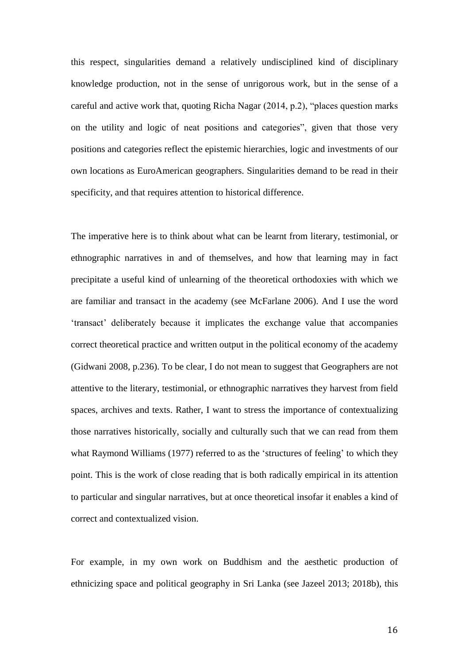this respect, singularities demand a relatively undisciplined kind of disciplinary knowledge production, not in the sense of unrigorous work, but in the sense of a careful and active work that, quoting Richa Nagar (2014, p.2), "places question marks on the utility and logic of neat positions and categories", given that those very positions and categories reflect the epistemic hierarchies, logic and investments of our own locations as EuroAmerican geographers. Singularities demand to be read in their specificity, and that requires attention to historical difference.

The imperative here is to think about what can be learnt from literary, testimonial, or ethnographic narratives in and of themselves, and how that learning may in fact precipitate a useful kind of unlearning of the theoretical orthodoxies with which we are familiar and transact in the academy (see McFarlane 2006). And I use the word 'transact' deliberately because it implicates the exchange value that accompanies correct theoretical practice and written output in the political economy of the academy (Gidwani 2008, p.236). To be clear, I do not mean to suggest that Geographers are not attentive to the literary, testimonial, or ethnographic narratives they harvest from field spaces, archives and texts. Rather, I want to stress the importance of contextualizing those narratives historically, socially and culturally such that we can read from them what Raymond Williams (1977) referred to as the 'structures of feeling' to which they point. This is the work of close reading that is both radically empirical in its attention to particular and singular narratives, but at once theoretical insofar it enables a kind of correct and contextualized vision.

For example, in my own work on Buddhism and the aesthetic production of ethnicizing space and political geography in Sri Lanka (see Jazeel 2013; 2018b), this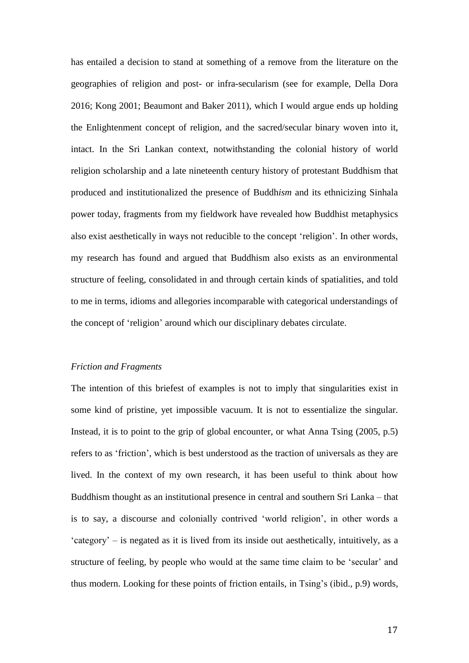has entailed a decision to stand at something of a remove from the literature on the geographies of religion and post- or infra-secularism (see for example, Della Dora 2016; Kong 2001; Beaumont and Baker 2011), which I would argue ends up holding the Enlightenment concept of religion, and the sacred/secular binary woven into it, intact. In the Sri Lankan context, notwithstanding the colonial history of world religion scholarship and a late nineteenth century history of protestant Buddhism that produced and institutionalized the presence of Buddh*ism* and its ethnicizing Sinhala power today, fragments from my fieldwork have revealed how Buddhist metaphysics also exist aesthetically in ways not reducible to the concept 'religion'. In other words, my research has found and argued that Buddhism also exists as an environmental structure of feeling, consolidated in and through certain kinds of spatialities, and told to me in terms, idioms and allegories incomparable with categorical understandings of the concept of 'religion' around which our disciplinary debates circulate.

### *Friction and Fragments*

The intention of this briefest of examples is not to imply that singularities exist in some kind of pristine, yet impossible vacuum. It is not to essentialize the singular. Instead, it is to point to the grip of global encounter, or what Anna Tsing (2005, p.5) refers to as 'friction', which is best understood as the traction of universals as they are lived. In the context of my own research, it has been useful to think about how Buddhism thought as an institutional presence in central and southern Sri Lanka – that is to say, a discourse and colonially contrived 'world religion', in other words a 'category' – is negated as it is lived from its inside out aesthetically, intuitively, as a structure of feeling, by people who would at the same time claim to be 'secular' and thus modern. Looking for these points of friction entails, in Tsing's (ibid., p.9) words,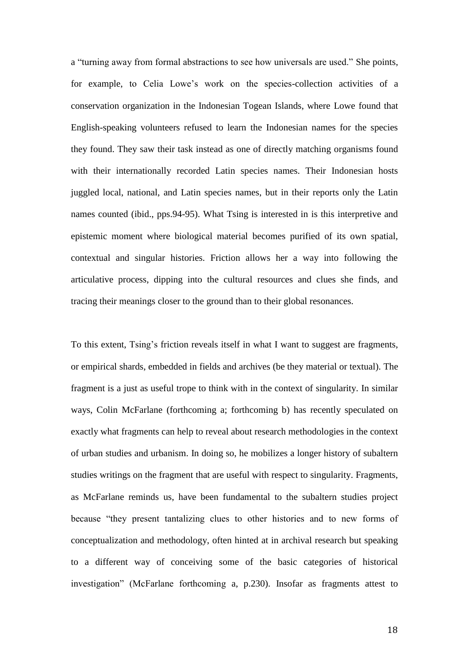a "turning away from formal abstractions to see how universals are used." She points, for example, to Celia Lowe's work on the species-collection activities of a conservation organization in the Indonesian Togean Islands, where Lowe found that English-speaking volunteers refused to learn the Indonesian names for the species they found. They saw their task instead as one of directly matching organisms found with their internationally recorded Latin species names. Their Indonesian hosts juggled local, national, and Latin species names, but in their reports only the Latin names counted (ibid., pps.94-95). What Tsing is interested in is this interpretive and epistemic moment where biological material becomes purified of its own spatial, contextual and singular histories. Friction allows her a way into following the articulative process, dipping into the cultural resources and clues she finds, and tracing their meanings closer to the ground than to their global resonances.

To this extent, Tsing's friction reveals itself in what I want to suggest are fragments, or empirical shards, embedded in fields and archives (be they material or textual). The fragment is a just as useful trope to think with in the context of singularity. In similar ways, Colin McFarlane (forthcoming a; forthcoming b) has recently speculated on exactly what fragments can help to reveal about research methodologies in the context of urban studies and urbanism. In doing so, he mobilizes a longer history of subaltern studies writings on the fragment that are useful with respect to singularity. Fragments, as McFarlane reminds us, have been fundamental to the subaltern studies project because "they present tantalizing clues to other histories and to new forms of conceptualization and methodology, often hinted at in archival research but speaking to a different way of conceiving some of the basic categories of historical investigation" (McFarlane forthcoming a, p.230). Insofar as fragments attest to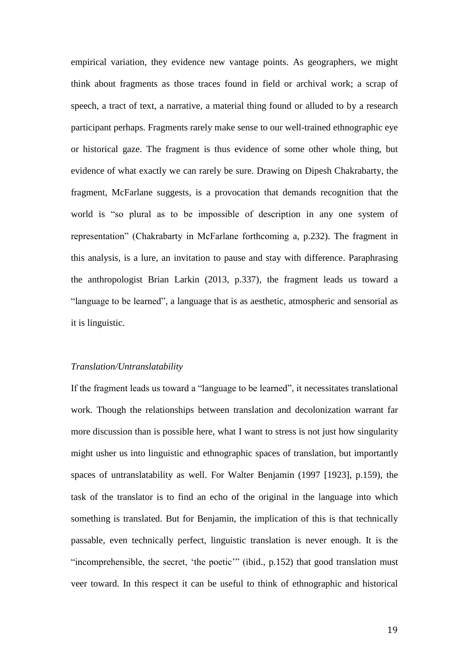empirical variation, they evidence new vantage points. As geographers, we might think about fragments as those traces found in field or archival work; a scrap of speech, a tract of text, a narrative, a material thing found or alluded to by a research participant perhaps. Fragments rarely make sense to our well-trained ethnographic eye or historical gaze. The fragment is thus evidence of some other whole thing, but evidence of what exactly we can rarely be sure. Drawing on Dipesh Chakrabarty, the fragment, McFarlane suggests, is a provocation that demands recognition that the world is "so plural as to be impossible of description in any one system of representation" (Chakrabarty in McFarlane forthcoming a, p.232). The fragment in this analysis, is a lure, an invitation to pause and stay with difference. Paraphrasing the anthropologist Brian Larkin (2013, p.337), the fragment leads us toward a "language to be learned", a language that is as aesthetic, atmospheric and sensorial as it is linguistic.

### *Translation/Untranslatability*

If the fragment leads us toward a "language to be learned", it necessitates translational work. Though the relationships between translation and decolonization warrant far more discussion than is possible here, what I want to stress is not just how singularity might usher us into linguistic and ethnographic spaces of translation, but importantly spaces of untranslatability as well. For Walter Benjamin (1997 [1923], p.159), the task of the translator is to find an echo of the original in the language into which something is translated. But for Benjamin, the implication of this is that technically passable, even technically perfect, linguistic translation is never enough. It is the "incomprehensible, the secret, 'the poetic'" (ibid., p.152) that good translation must veer toward. In this respect it can be useful to think of ethnographic and historical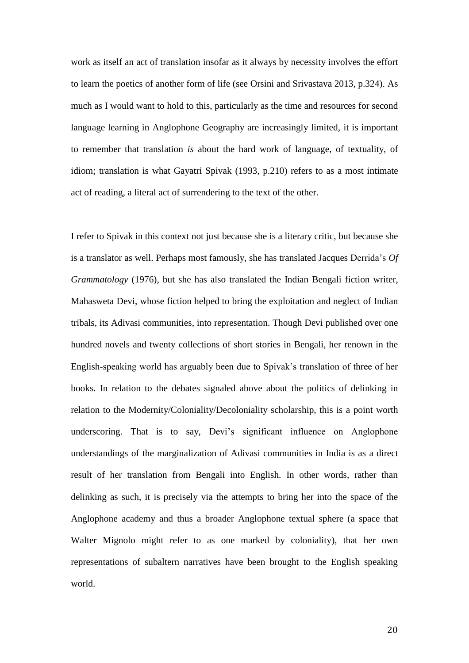work as itself an act of translation insofar as it always by necessity involves the effort to learn the poetics of another form of life (see Orsini and Srivastava 2013, p.324). As much as I would want to hold to this, particularly as the time and resources for second language learning in Anglophone Geography are increasingly limited, it is important to remember that translation *is* about the hard work of language, of textuality, of idiom; translation is what Gayatri Spivak (1993, p.210) refers to as a most intimate act of reading, a literal act of surrendering to the text of the other.

I refer to Spivak in this context not just because she is a literary critic, but because she is a translator as well. Perhaps most famously, she has translated Jacques Derrida's *Of Grammatology* (1976), but she has also translated the Indian Bengali fiction writer, Mahasweta Devi, whose fiction helped to bring the exploitation and neglect of Indian tribals, its Adivasi communities, into representation. Though Devi published over one hundred novels and twenty collections of short stories in Bengali, her renown in the English-speaking world has arguably been due to Spivak's translation of three of her books. In relation to the debates signaled above about the politics of delinking in relation to the Modernity/Coloniality/Decoloniality scholarship, this is a point worth underscoring. That is to say, Devi's significant influence on Anglophone understandings of the marginalization of Adivasi communities in India is as a direct result of her translation from Bengali into English. In other words, rather than delinking as such, it is precisely via the attempts to bring her into the space of the Anglophone academy and thus a broader Anglophone textual sphere (a space that Walter Mignolo might refer to as one marked by coloniality), that her own representations of subaltern narratives have been brought to the English speaking world.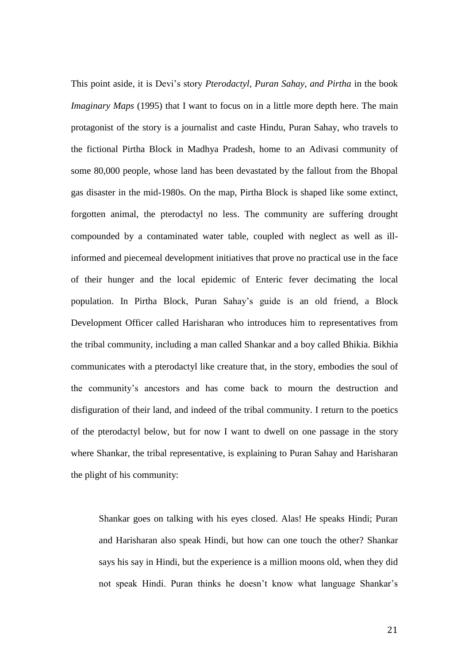This point aside, it is Devi's story *Pterodactyl, Puran Sahay, and Pirtha* in the book *Imaginary Maps* (1995) that I want to focus on in a little more depth here. The main protagonist of the story is a journalist and caste Hindu, Puran Sahay, who travels to the fictional Pirtha Block in Madhya Pradesh, home to an Adivasi community of some 80,000 people, whose land has been devastated by the fallout from the Bhopal gas disaster in the mid-1980s. On the map, Pirtha Block is shaped like some extinct, forgotten animal, the pterodactyl no less. The community are suffering drought compounded by a contaminated water table, coupled with neglect as well as illinformed and piecemeal development initiatives that prove no practical use in the face of their hunger and the local epidemic of Enteric fever decimating the local population. In Pirtha Block, Puran Sahay's guide is an old friend, a Block Development Officer called Harisharan who introduces him to representatives from the tribal community, including a man called Shankar and a boy called Bhikia. Bikhia communicates with a pterodactyl like creature that, in the story, embodies the soul of the community's ancestors and has come back to mourn the destruction and disfiguration of their land, and indeed of the tribal community. I return to the poetics of the pterodactyl below, but for now I want to dwell on one passage in the story where Shankar, the tribal representative, is explaining to Puran Sahay and Harisharan the plight of his community:

Shankar goes on talking with his eyes closed. Alas! He speaks Hindi; Puran and Harisharan also speak Hindi, but how can one touch the other? Shankar says his say in Hindi, but the experience is a million moons old, when they did not speak Hindi. Puran thinks he doesn't know what language Shankar's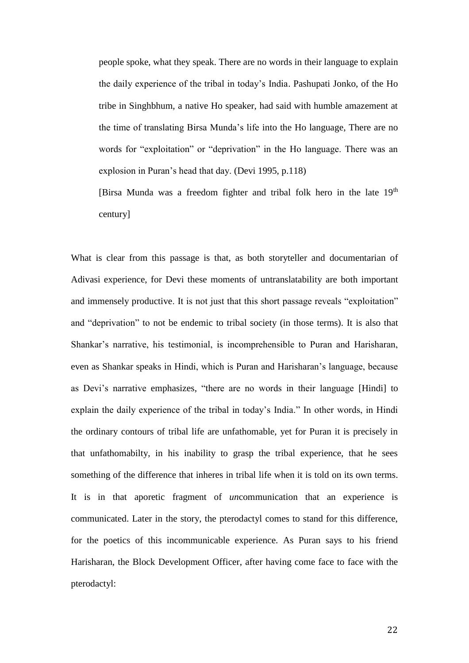people spoke, what they speak. There are no words in their language to explain the daily experience of the tribal in today's India. Pashupati Jonko, of the Ho tribe in Singhbhum, a native Ho speaker, had said with humble amazement at the time of translating Birsa Munda's life into the Ho language, There are no words for "exploitation" or "deprivation" in the Ho language. There was an explosion in Puran's head that day. (Devi 1995, p.118)

[Birsa Munda was a freedom fighter and tribal folk hero in the late 19<sup>th</sup> century]

What is clear from this passage is that, as both storyteller and documentarian of Adivasi experience, for Devi these moments of untranslatability are both important and immensely productive. It is not just that this short passage reveals "exploitation" and "deprivation" to not be endemic to tribal society (in those terms). It is also that Shankar's narrative, his testimonial, is incomprehensible to Puran and Harisharan, even as Shankar speaks in Hindi, which is Puran and Harisharan's language, because as Devi's narrative emphasizes, "there are no words in their language [Hindi] to explain the daily experience of the tribal in today's India." In other words, in Hindi the ordinary contours of tribal life are unfathomable, yet for Puran it is precisely in that unfathomabilty, in his inability to grasp the tribal experience, that he sees something of the difference that inheres in tribal life when it is told on its own terms. It is in that aporetic fragment of *un*communication that an experience is communicated. Later in the story, the pterodactyl comes to stand for this difference, for the poetics of this incommunicable experience. As Puran says to his friend Harisharan, the Block Development Officer, after having come face to face with the pterodactyl: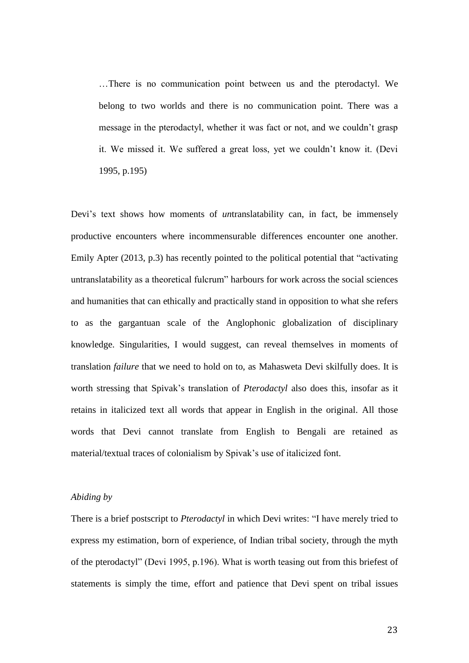…There is no communication point between us and the pterodactyl. We belong to two worlds and there is no communication point. There was a message in the pterodactyl, whether it was fact or not, and we couldn't grasp it. We missed it. We suffered a great loss, yet we couldn't know it. (Devi 1995, p.195)

Devi's text shows how moments of *un*translatability can, in fact, be immensely productive encounters where incommensurable differences encounter one another. Emily Apter (2013, p.3) has recently pointed to the political potential that "activating untranslatability as a theoretical fulcrum" harbours for work across the social sciences and humanities that can ethically and practically stand in opposition to what she refers to as the gargantuan scale of the Anglophonic globalization of disciplinary knowledge. Singularities, I would suggest, can reveal themselves in moments of translation *failure* that we need to hold on to, as Mahasweta Devi skilfully does. It is worth stressing that Spivak's translation of *Pterodactyl* also does this, insofar as it retains in italicized text all words that appear in English in the original. All those words that Devi cannot translate from English to Bengali are retained as material/textual traces of colonialism by Spivak's use of italicized font.

# *Abiding by*

There is a brief postscript to *Pterodactyl* in which Devi writes: "I have merely tried to express my estimation, born of experience, of Indian tribal society, through the myth of the pterodactyl" (Devi 1995, p.196). What is worth teasing out from this briefest of statements is simply the time, effort and patience that Devi spent on tribal issues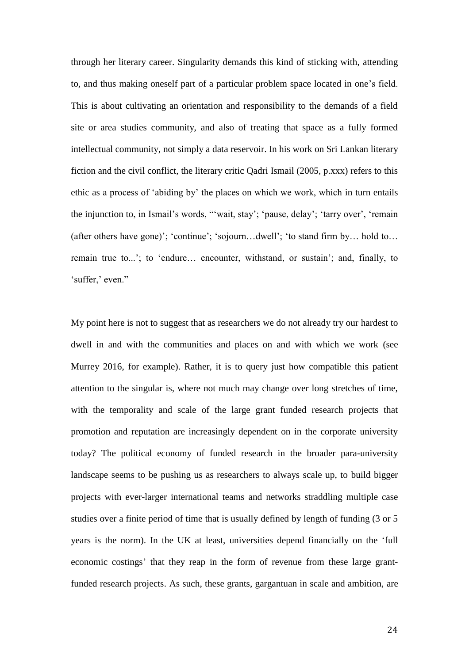through her literary career. Singularity demands this kind of sticking with, attending to, and thus making oneself part of a particular problem space located in one's field. This is about cultivating an orientation and responsibility to the demands of a field site or area studies community, and also of treating that space as a fully formed intellectual community, not simply a data reservoir. In his work on Sri Lankan literary fiction and the civil conflict, the literary critic Qadri Ismail (2005, p.xxx) refers to this ethic as a process of 'abiding by' the places on which we work, which in turn entails the injunction to, in Ismail's words, "'wait, stay'; 'pause, delay'; 'tarry over', 'remain (after others have gone)'; 'continue'; 'sojourn…dwell'; 'to stand firm by… hold to… remain true to...'; to 'endure… encounter, withstand, or sustain'; and, finally, to 'suffer,' even."

My point here is not to suggest that as researchers we do not already try our hardest to dwell in and with the communities and places on and with which we work (see Murrey 2016, for example). Rather, it is to query just how compatible this patient attention to the singular is, where not much may change over long stretches of time, with the temporality and scale of the large grant funded research projects that promotion and reputation are increasingly dependent on in the corporate university today? The political economy of funded research in the broader para-university landscape seems to be pushing us as researchers to always scale up, to build bigger projects with ever-larger international teams and networks straddling multiple case studies over a finite period of time that is usually defined by length of funding (3 or 5 years is the norm). In the UK at least, universities depend financially on the 'full economic costings' that they reap in the form of revenue from these large grantfunded research projects. As such, these grants, gargantuan in scale and ambition, are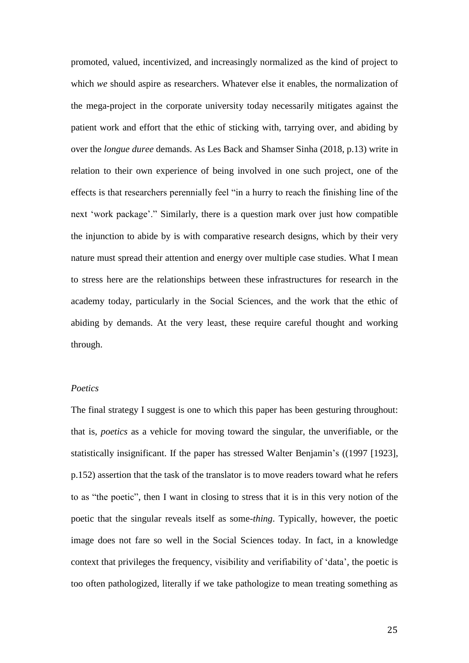promoted, valued, incentivized, and increasingly normalized as the kind of project to which *we* should aspire as researchers. Whatever else it enables, the normalization of the mega-project in the corporate university today necessarily mitigates against the patient work and effort that the ethic of sticking with, tarrying over, and abiding by over the *longue duree* demands. As Les Back and Shamser Sinha (2018, p.13) write in relation to their own experience of being involved in one such project, one of the effects is that researchers perennially feel "in a hurry to reach the finishing line of the next 'work package'." Similarly, there is a question mark over just how compatible the injunction to abide by is with comparative research designs, which by their very nature must spread their attention and energy over multiple case studies. What I mean to stress here are the relationships between these infrastructures for research in the academy today, particularly in the Social Sciences, and the work that the ethic of abiding by demands. At the very least, these require careful thought and working through.

## *Poetics*

The final strategy I suggest is one to which this paper has been gesturing throughout: that is, *poetics* as a vehicle for moving toward the singular, the unverifiable, or the statistically insignificant. If the paper has stressed Walter Benjamin's ((1997 [1923], p.152) assertion that the task of the translator is to move readers toward what he refers to as "the poetic", then I want in closing to stress that it is in this very notion of the poetic that the singular reveals itself as some-*thing*. Typically, however, the poetic image does not fare so well in the Social Sciences today. In fact, in a knowledge context that privileges the frequency, visibility and verifiability of 'data', the poetic is too often pathologized, literally if we take pathologize to mean treating something as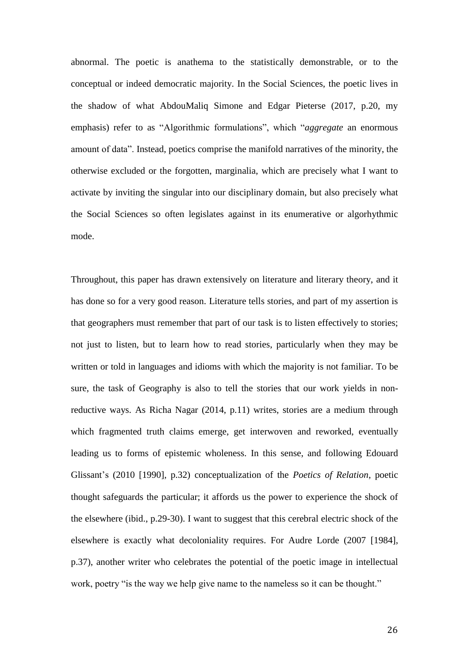abnormal. The poetic is anathema to the statistically demonstrable, or to the conceptual or indeed democratic majority. In the Social Sciences, the poetic lives in the shadow of what AbdouMaliq Simone and Edgar Pieterse (2017, p.20, my emphasis) refer to as "Algorithmic formulations", which "*aggregate* an enormous amount of data". Instead, poetics comprise the manifold narratives of the minority, the otherwise excluded or the forgotten, marginalia, which are precisely what I want to activate by inviting the singular into our disciplinary domain, but also precisely what the Social Sciences so often legislates against in its enumerative or algorhythmic mode.

Throughout, this paper has drawn extensively on literature and literary theory, and it has done so for a very good reason. Literature tells stories, and part of my assertion is that geographers must remember that part of our task is to listen effectively to stories; not just to listen, but to learn how to read stories, particularly when they may be written or told in languages and idioms with which the majority is not familiar. To be sure, the task of Geography is also to tell the stories that our work yields in nonreductive ways. As Richa Nagar (2014, p.11) writes, stories are a medium through which fragmented truth claims emerge, get interwoven and reworked, eventually leading us to forms of epistemic wholeness. In this sense, and following Edouard Glissant's (2010 [1990], p.32) conceptualization of the *Poetics of Relation*, poetic thought safeguards the particular; it affords us the power to experience the shock of the elsewhere (ibid., p.29-30). I want to suggest that this cerebral electric shock of the elsewhere is exactly what decoloniality requires. For Audre Lorde (2007 [1984], p.37), another writer who celebrates the potential of the poetic image in intellectual work, poetry "is the way we help give name to the nameless so it can be thought."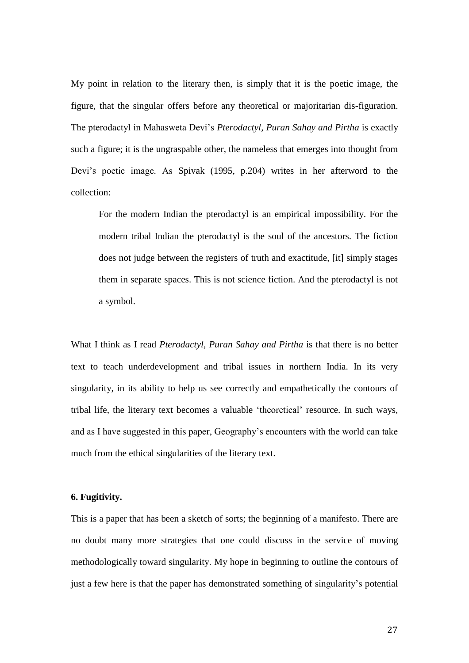My point in relation to the literary then, is simply that it is the poetic image, the figure, that the singular offers before any theoretical or majoritarian dis-figuration. The pterodactyl in Mahasweta Devi's *Pterodactyl, Puran Sahay and Pirtha* is exactly such a figure; it is the ungraspable other, the nameless that emerges into thought from Devi's poetic image. As Spivak (1995, p.204) writes in her afterword to the collection:

For the modern Indian the pterodactyl is an empirical impossibility. For the modern tribal Indian the pterodactyl is the soul of the ancestors. The fiction does not judge between the registers of truth and exactitude, [it] simply stages them in separate spaces. This is not science fiction. And the pterodactyl is not a symbol.

What I think as I read *Pterodactyl, Puran Sahay and Pirtha* is that there is no better text to teach underdevelopment and tribal issues in northern India. In its very singularity, in its ability to help us see correctly and empathetically the contours of tribal life, the literary text becomes a valuable 'theoretical' resource. In such ways, and as I have suggested in this paper, Geography's encounters with the world can take much from the ethical singularities of the literary text.

# **6. Fugitivity.**

This is a paper that has been a sketch of sorts; the beginning of a manifesto. There are no doubt many more strategies that one could discuss in the service of moving methodologically toward singularity. My hope in beginning to outline the contours of just a few here is that the paper has demonstrated something of singularity's potential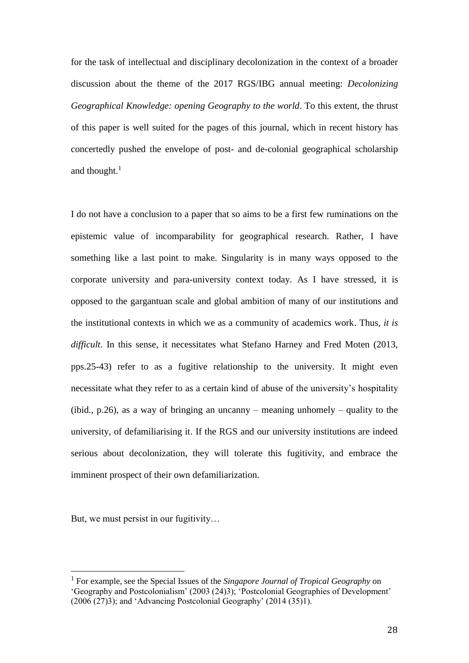for the task of intellectual and disciplinary decolonization in the context of a broader discussion about the theme of the 2017 RGS/IBG annual meeting: *Decolonizing Geographical Knowledge: opening Geography to the world*. To this extent, the thrust of this paper is well suited for the pages of this journal, which in recent history has concertedly pushed the envelope of post- and de-colonial geographical scholarship and thought. $<sup>1</sup>$ </sup>

I do not have a conclusion to a paper that so aims to be a first few ruminations on the epistemic value of incomparability for geographical research. Rather, I have something like a last point to make. Singularity is in many ways opposed to the corporate university and para-university context today. As I have stressed, it is opposed to the gargantuan scale and global ambition of many of our institutions and the institutional contexts in which we as a community of academics work. Thus, *it is difficult*. In this sense, it necessitates what Stefano Harney and Fred Moten (2013, pps.25-43) refer to as a fugitive relationship to the university. It might even necessitate what they refer to as a certain kind of abuse of the university's hospitality (ibid., p.26), as a way of bringing an uncanny – meaning unhomely – quality to the university, of defamiliarising it. If the RGS and our university institutions are indeed serious about decolonization, they will tolerate this fugitivity, and embrace the imminent prospect of their own defamiliarization.

But, we must persist in our fugitivity…

 $\overline{a}$ 

<sup>1</sup> For example, see the Special Issues of the *Singapore Journal of Tropical Geography* on 'Geography and Postcolonialism' (2003 (24)3); 'Postcolonial Geographies of Development'  $(2006 (27)3)$ ; and 'Advancing Postcolonial Geography'  $(2014 (35)1)$ .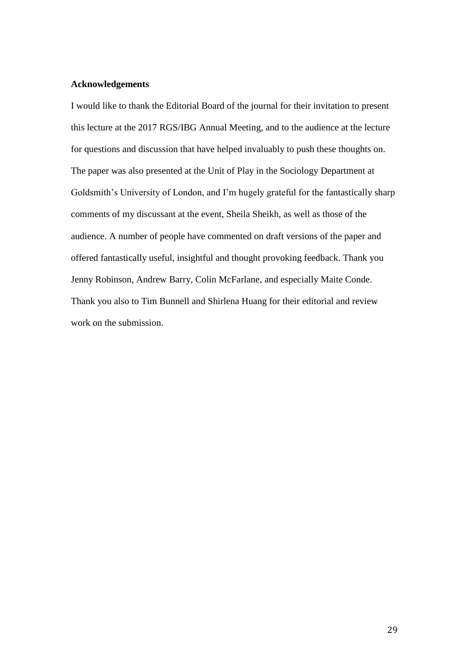# **Acknowledgements**

I would like to thank the Editorial Board of the journal for their invitation to present this lecture at the 2017 RGS/IBG Annual Meeting, and to the audience at the lecture for questions and discussion that have helped invaluably to push these thoughts on. The paper was also presented at the Unit of Play in the Sociology Department at Goldsmith's University of London, and I'm hugely grateful for the fantastically sharp comments of my discussant at the event, Sheila Sheikh, as well as those of the audience. A number of people have commented on draft versions of the paper and offered fantastically useful, insightful and thought provoking feedback. Thank you Jenny Robinson, Andrew Barry, Colin McFarlane, and especially Maite Conde. Thank you also to Tim Bunnell and Shirlena Huang for their editorial and review work on the submission.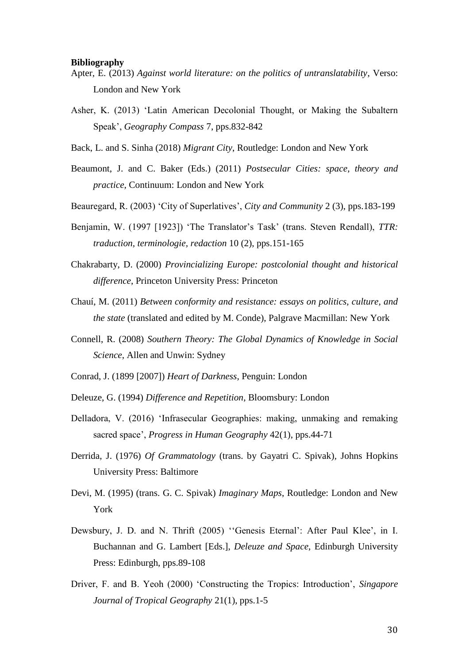#### **Bibliography**

- Apter, E. (2013) *Against world literature: on the politics of untranslatability*, Verso: London and New York
- Asher, K. (2013) 'Latin American Decolonial Thought, or Making the Subaltern Speak', *Geography Compass* 7, pps.832-842
- Back, L. and S. Sinha (2018) *Migrant City*, Routledge: London and New York
- Beaumont, J. and C. Baker (Eds.) (2011) *Postsecular Cities: space, theory and practice*, Continuum: London and New York
- Beauregard, R. (2003) 'City of Superlatives', *City and Community* 2 (3), pps.183-199
- Benjamin, W. (1997 [1923]) 'The Translator's Task' (trans. Steven Rendall), *TTR: traduction, terminologie, redaction* 10 (2), pps.151-165
- Chakrabarty, D. (2000) *Provincializing Europe: postcolonial thought and historical difference*, Princeton University Press: Princeton
- Chauí, M. (2011) *Between conformity and resistance: essays on politics, culture, and the state* (translated and edited by M. Conde), Palgrave Macmillan: New York
- Connell, R. (2008) *Southern Theory: The Global Dynamics of Knowledge in Social Science*, Allen and Unwin: Sydney
- Conrad, J. (1899 [2007]) *Heart of Darkness*, Penguin: London
- Deleuze, G. (1994) *Difference and Repetition*, Bloomsbury: London
- Delladora, V. (2016) 'Infrasecular Geographies: making, unmaking and remaking sacred space', *Progress in Human Geography* 42(1), pps.44-71
- Derrida, J. (1976) *Of Grammatology* (trans. by Gayatri C. Spivak)*,* Johns Hopkins University Press: Baltimore
- Devi, M. (1995) (trans. G. C. Spivak) *Imaginary Maps*, Routledge: London and New York
- Dewsbury, J. D. and N. Thrift (2005) ''Genesis Eternal': After Paul Klee', in I. Buchannan and G. Lambert [Eds.], *Deleuze and Space*, Edinburgh University Press: Edinburgh, pps.89-108
- Driver, F. and B. Yeoh (2000) 'Constructing the Tropics: Introduction', *Singapore Journal of Tropical Geography* 21(1), pps.1-5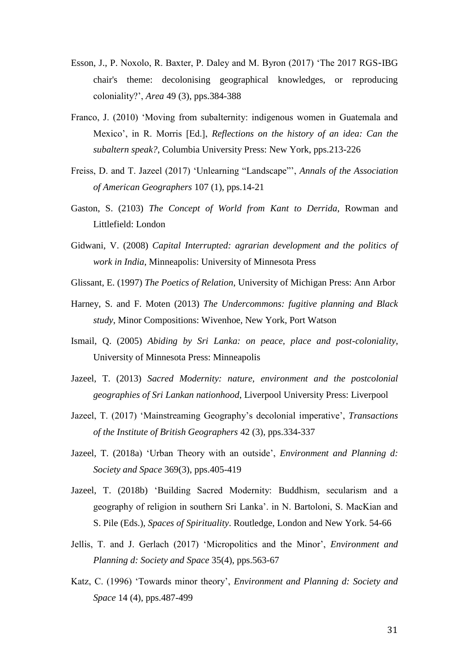- Esson, J., P. Noxolo, R. Baxter, P. Daley and M. Byron (2017) 'The 2017 RGS‐IBG chair's theme: decolonising geographical knowledges, or reproducing coloniality?', *Area* 49 (3), pps.384-388
- Franco, J. (2010) 'Moving from subalternity: indigenous women in Guatemala and Mexico', in R. Morris [Ed.], *Reflections on the history of an idea: Can the subaltern speak?*, Columbia University Press: New York, pps.213-226
- Freiss, D. and T. Jazeel (2017) 'Unlearning "Landscape"', *Annals of the Association of American Geographers* 107 (1), pps.14-21
- Gaston, S. (2103) *The Concept of World from Kant to Derrida*, Rowman and Littlefield: London
- Gidwani, V. (2008) *Capital Interrupted: agrarian development and the politics of work in India*, Minneapolis: University of Minnesota Press
- Glissant, E. (1997) *The Poetics of Relation*, University of Michigan Press: Ann Arbor
- Harney, S. and F. Moten (2013) *The Undercommons: fugitive planning and Black study*, Minor Compositions: Wivenhoe, New York, Port Watson
- Ismail, Q. (2005) *Abiding by Sri Lanka: on peace, place and post-coloniality*, University of Minnesota Press: Minneapolis
- Jazeel, T. (2013) *Sacred Modernity: nature, environment and the postcolonial geographies of Sri Lankan nationhood*, Liverpool University Press: Liverpool
- Jazeel, T. (2017) 'Mainstreaming Geography's decolonial imperative', *Transactions of the Institute of British Geographers* 42 (3), pps.334-337
- Jazeel, T. (2018a) 'Urban Theory with an outside', *Environment and Planning d: Society and Space* 369(3), pps.405-419
- Jazeel, T. (2018b) 'Building Sacred Modernity: Buddhism, secularism and a geography of religion in southern Sri Lanka'. in N. Bartoloni, S. MacKian and S. Pile (Eds.), *Spaces of Spirituality*. Routledge, London and New York. 54-66
- Jellis, T. and J. Gerlach (2017) 'Micropolitics and the Minor', *Environment and Planning d: Society and Space* 35(4), pps.563-67
- Katz, C. (1996) 'Towards minor theory', *Environment and Planning d: Society and Space* 14 (4), pps.487-499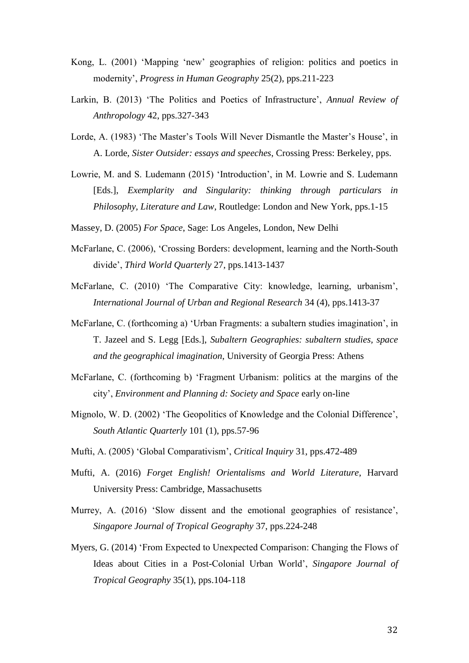- Kong, L. (2001) 'Mapping 'new' geographies of religion: politics and poetics in modernity', *Progress in Human Geography* 25(2), pps.211-223
- Larkin, B. (2013) 'The Politics and Poetics of Infrastructure', *Annual Review of Anthropology* 42, pps.327-343
- Lorde, A. (1983) 'The Master's Tools Will Never Dismantle the Master's House', in A. Lorde, *Sister Outsider: essays and speeches*, Crossing Press: Berkeley, pps.
- Lowrie, M. and S. Ludemann (2015) 'Introduction', in M. Lowrie and S. Ludemann [Eds.], *Exemplarity and Singularity: thinking through particulars in Philosophy, Literature and Law*, Routledge: London and New York, pps.1-15
- Massey, D. (2005) *For Space*, Sage: Los Angeles, London, New Delhi
- McFarlane, C. (2006), 'Crossing Borders: development, learning and the North-South divide', *Third World Quarterly* 27, pps.1413-1437
- McFarlane, C. (2010) 'The Comparative City: knowledge, learning, urbanism', *International Journal of Urban and Regional Research* 34 (4), pps.1413-37
- McFarlane, C. (forthcoming a) 'Urban Fragments: a subaltern studies imagination', in T. Jazeel and S. Legg [Eds.], *Subaltern Geographies: subaltern studies, space and the geographical imagination*, University of Georgia Press: Athens
- McFarlane, C. (forthcoming b) 'Fragment Urbanism: politics at the margins of the city', *Environment and Planning d: Society and Space* early on-line
- Mignolo, W. D. (2002) 'The Geopolitics of Knowledge and the Colonial Difference', *South Atlantic Quarterly* 101 (1), pps.57-96
- Mufti, A. (2005) 'Global Comparativism', *Critical Inquiry* 31, pps.472-489
- Mufti, A. (2016) *Forget English! Orientalisms and World Literature*, Harvard University Press: Cambridge, Massachusetts
- Murrey, A. (2016) 'Slow dissent and the emotional geographies of resistance', *Singapore Journal of Tropical Geography* 37, pps.224-248
- Myers, G. (2014) 'From Expected to Unexpected Comparison: Changing the Flows of Ideas about Cities in a Post-Colonial Urban World', *Singapore Journal of Tropical Geography* 35(1), pps.104-118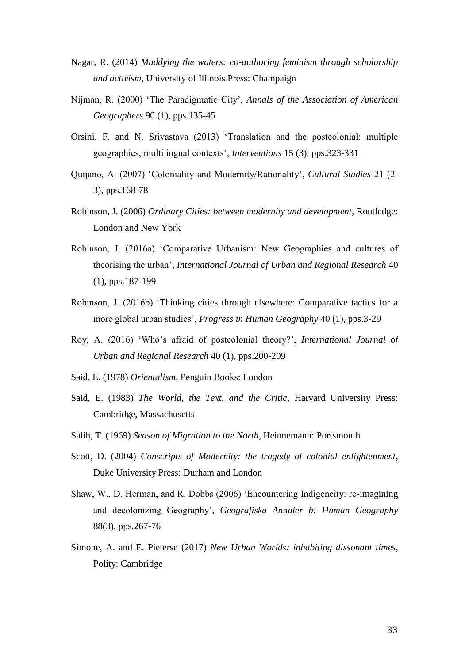- Nagar, R. (2014) *Muddying the waters: co-authoring feminism through scholarship and activism*, University of Illinois Press: Champaign
- Nijman, R. (2000) 'The Paradigmatic City', *Annals of the Association of American Geographers* 90 (1), pps.135-45
- Orsini, F. and N. Srivastava (2013) 'Translation and the postcolonial: multiple geographies, multilingual contexts', *Interventions* 15 (3), pps.323-331
- Quijano, A. (2007) 'Coloniality and Modernity/Rationality', *Cultural Studies* 21 (2- 3), pps.168-78
- Robinson, J. (2006) *Ordinary Cities: between modernity and development*, Routledge: London and New York
- Robinson, J. (2016a) 'Comparative Urbanism: New Geographies and cultures of theorising the urban', *International Journal of Urban and Regional Research* 40 (1), pps.187-199
- Robinson, J. (2016b) 'Thinking cities through elsewhere: Comparative tactics for a more global urban studies', *Progress in Human Geography* 40 (1), pps.3-29
- Roy, A. (2016) 'Who's afraid of postcolonial theory?', *International Journal of Urban and Regional Research* 40 (1), pps.200-209
- Said, E. (1978) *Orientalism*, Penguin Books: London
- Said, E. (1983) *The World, the Text, and the Critic*, Harvard University Press: Cambridge, Massachusetts
- Salih, T. (1969) *Season of Migration to the North*, Heinnemann: Portsmouth
- Scott, D. (2004) *Conscripts of Modernity: the tragedy of colonial enlightenment*, Duke University Press: Durham and London
- Shaw, W., D. Herman, and R. Dobbs (2006) 'Encountering Indigeneity: re-imagining and decolonizing Geography', *Geografiska Annaler b: Human Geography* 88(3), pps.267-76
- Simone, A. and E. Pieterse (2017) *New Urban Worlds: inhabiting dissonant times*, Polity: Cambridge